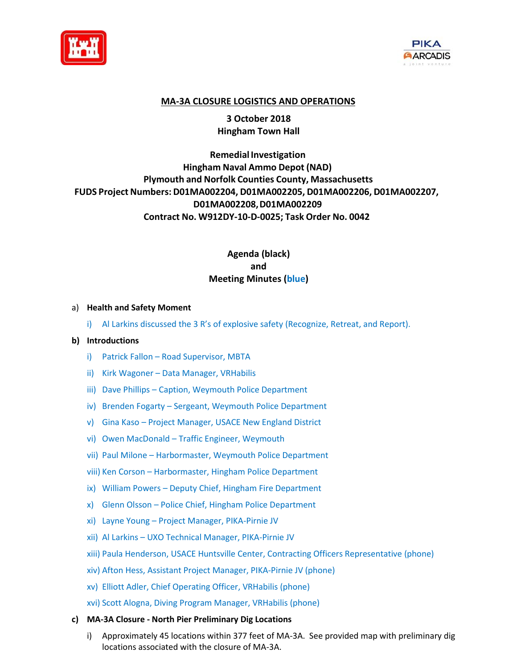



### **MA-3A CLOSURE LOGISTICS AND OPERATIONS**

## **3 October 2018 Hingham Town Hall**

# **Remedial Investigation Hingham Naval Ammo Depot (NAD) Plymouth and Norfolk Counties County, Massachusetts FUDS Project Numbers: D01MA002204, D01MA002205, D01MA002206, D01MA002207, D01MA002208,D01MA002209 Contract No. W912DY‐10‐D‐0025; Task Order No. 0042**

# **Agenda (black) and Meeting Minutes (blue)**

### a) **Health and Safety Moment**

i) Al Larkins discussed the 3 R's of explosive safety (Recognize, Retreat, and Report).

### **b) Introductions**

- i) Patrick Fallon Road Supervisor, MBTA
- ii) Kirk Wagoner Data Manager, VRHabilis
- iii) Dave Phillips Caption, Weymouth Police Department
- iv) Brenden Fogarty Sergeant, Weymouth Police Department
- v) Gina Kaso Project Manager, USACE New England District
- vi) Owen MacDonald Traffic Engineer, Weymouth
- vii) Paul Milone Harbormaster, Weymouth Police Department
- viii) Ken Corson Harbormaster, Hingham Police Department
- ix) William Powers Deputy Chief, Hingham Fire Department
- x) Glenn Olsson Police Chief, Hingham Police Department
- xi) Layne Young Project Manager, PIKA-Pirnie JV
- xii) Al Larkins UXO Technical Manager, PIKA-Pirnie JV
- xiii) Paula Henderson, USACE Huntsville Center, Contracting Officers Representative (phone)
- xiv) Afton Hess, Assistant Project Manager, PIKA-Pirnie JV (phone)
- xv) Elliott Adler, Chief Operating Officer, VRHabilis (phone)
- xvi) Scott Alogna, Diving Program Manager, VRHabilis (phone)

#### **c) MA-3A Closure - North Pier Preliminary Dig Locations**

i) Approximately 45 locations within 377 feet of MA-3A. See provided map with preliminary dig locations associated with the closure of MA-3A.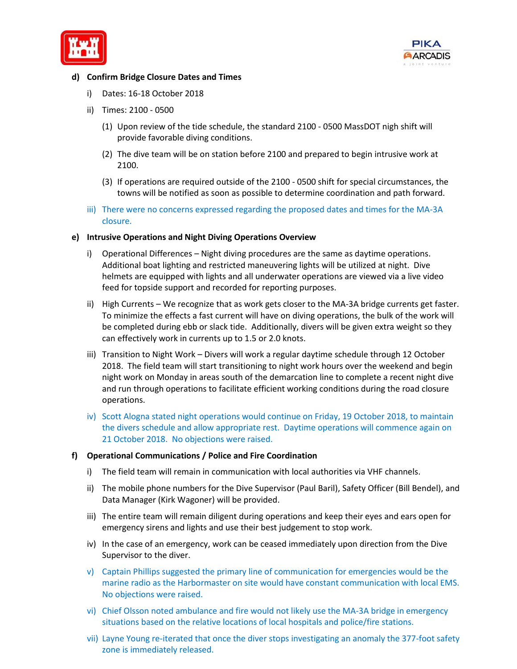



### **d) Confirm Bridge Closure Dates and Times**

- i) Dates: 16-18 October 2018
- ii) Times: 2100 0500
	- (1) Upon review of the tide schedule, the standard 2100 0500 MassDOT nigh shift will provide favorable diving conditions.
	- (2) The dive team will be on station before 2100 and prepared to begin intrusive work at 2100.
	- (3) If operations are required outside of the 2100 0500 shift for special circumstances, the towns will be notified as soon as possible to determine coordination and path forward.
- iii) There were no concerns expressed regarding the proposed dates and times for the MA-3A closure.
- **e) Intrusive Operations and Night Diving Operations Overview**
	- i) Operational Differences Night diving procedures are the same as daytime operations. Additional boat lighting and restricted maneuvering lights will be utilized at night. Dive helmets are equipped with lights and all underwater operations are viewed via a live video feed for topside support and recorded for reporting purposes.
	- ii) High Currents We recognize that as work gets closer to the MA-3A bridge currents get faster. To minimize the effects a fast current will have on diving operations, the bulk of the work will be completed during ebb or slack tide. Additionally, divers will be given extra weight so they can effectively work in currents up to 1.5 or 2.0 knots.
	- iii) Transition to Night Work Divers will work a regular daytime schedule through 12 October 2018. The field team will start transitioning to night work hours over the weekend and begin night work on Monday in areas south of the demarcation line to complete a recent night dive and run through operations to facilitate efficient working conditions during the road closure operations.
	- iv) Scott Alogna stated night operations would continue on Friday, 19 October 2018, to maintain the divers schedule and allow appropriate rest. Daytime operations will commence again on 21 October 2018. No objections were raised.

### **f) Operational Communications / Police and Fire Coordination**

- i) The field team will remain in communication with local authorities via VHF channels.
- ii) The mobile phone numbers for the Dive Supervisor (Paul Baril), Safety Officer (Bill Bendel), and Data Manager (Kirk Wagoner) will be provided.
- iii) The entire team will remain diligent during operations and keep their eyes and ears open for emergency sirens and lights and use their best judgement to stop work.
- iv) In the case of an emergency, work can be ceased immediately upon direction from the Dive Supervisor to the diver.
- v) Captain Phillips suggested the primary line of communication for emergencies would be the marine radio as the Harbormaster on site would have constant communication with local EMS. No objections were raised.
- vi) Chief Olsson noted ambulance and fire would not likely use the MA-3A bridge in emergency situations based on the relative locations of local hospitals and police/fire stations.
- vii) Layne Young re-iterated that once the diver stops investigating an anomaly the 377-foot safety zone is immediately released.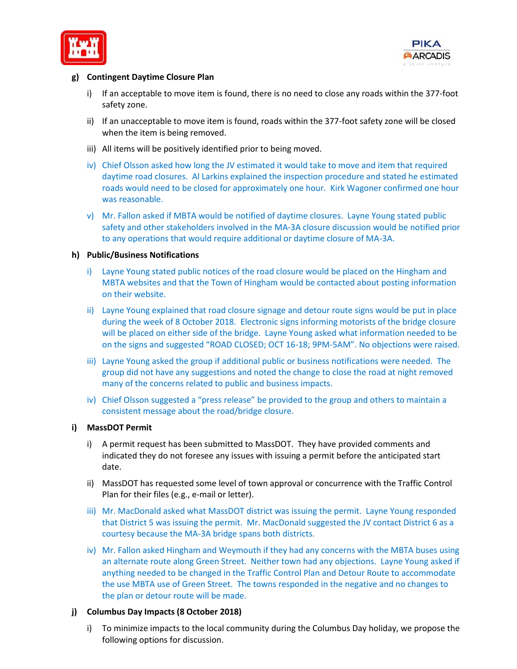



### **g) Contingent Daytime Closure Plan**

- i) If an acceptable to move item is found, there is no need to close any roads within the 377-foot safety zone.
- ii) If an unacceptable to move item is found, roads within the 377-foot safety zone will be closed when the item is being removed.
- iii) All items will be positively identified prior to being moved.
- iv) Chief Olsson asked how long the JV estimated it would take to move and item that required daytime road closures. Al Larkins explained the inspection procedure and stated he estimated roads would need to be closed for approximately one hour. Kirk Wagoner confirmed one hour was reasonable.
- v) Mr. Fallon asked if MBTA would be notified of daytime closures. Layne Young stated public safety and other stakeholders involved in the MA-3A closure discussion would be notified prior to any operations that would require additional or daytime closure of MA-3A.

### **h) Public/Business Notifications**

- i) Layne Young stated public notices of the road closure would be placed on the Hingham and MBTA websites and that the Town of Hingham would be contacted about posting information on their website.
- ii) Layne Young explained that road closure signage and detour route signs would be put in place during the week of 8 October 2018. Electronic signs informing motorists of the bridge closure will be placed on either side of the bridge. Layne Young asked what information needed to be on the signs and suggested "ROAD CLOSED; OCT 16-18; 9PM-5AM". No objections were raised.
- iii) Layne Young asked the group if additional public or business notifications were needed. The group did not have any suggestions and noted the change to close the road at night removed many of the concerns related to public and business impacts.
- iv) Chief Olsson suggested a "press release" be provided to the group and others to maintain a consistent message about the road/bridge closure.

### **i) MassDOT Permit**

- i) A permit request has been submitted to MassDOT. They have provided comments and indicated they do not foresee any issues with issuing a permit before the anticipated start date.
- ii) MassDOT has requested some level of town approval or concurrence with the Traffic Control Plan for their files (e.g., e-mail or letter).
- iii) Mr. MacDonald asked what MassDOT district was issuing the permit. Layne Young responded that District 5 was issuing the permit. Mr. MacDonald suggested the JV contact District 6 as a courtesy because the MA-3A bridge spans both districts.
- iv) Mr. Fallon asked Hingham and Weymouth if they had any concerns with the MBTA buses using an alternate route along Green Street. Neither town had any objections. Layne Young asked if anything needed to be changed in the Traffic Control Plan and Detour Route to accommodate the use MBTA use of Green Street. The towns responded in the negative and no changes to the plan or detour route will be made.

### **j) Columbus Day Impacts (8 October 2018)**

i) To minimize impacts to the local community during the Columbus Day holiday, we propose the following options for discussion.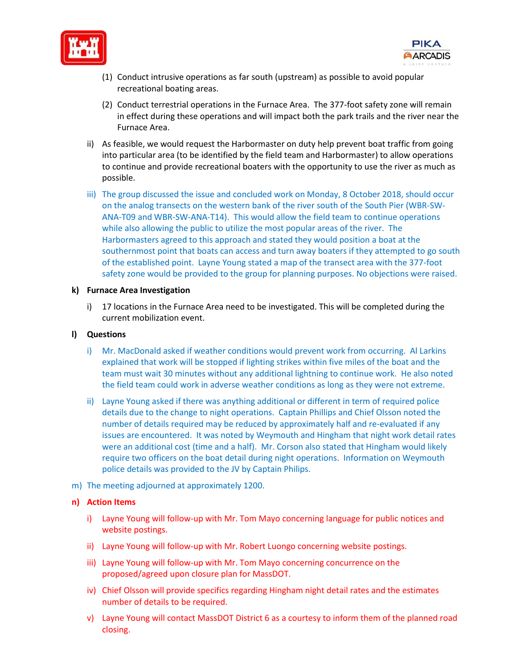



- (1) Conduct intrusive operations as far south (upstream) as possible to avoid popular recreational boating areas.
- (2) Conduct terrestrial operations in the Furnace Area. The 377-foot safety zone will remain in effect during these operations and will impact both the park trails and the river near the Furnace Area.
- ii) As feasible, we would request the Harbormaster on duty help prevent boat traffic from going into particular area (to be identified by the field team and Harbormaster) to allow operations to continue and provide recreational boaters with the opportunity to use the river as much as possible.
- iii) The group discussed the issue and concluded work on Monday, 8 October 2018, should occur on the analog transects on the western bank of the river south of the South Pier (WBR-SW-ANA-T09 and WBR-SW-ANA-T14). This would allow the field team to continue operations while also allowing the public to utilize the most popular areas of the river. The Harbormasters agreed to this approach and stated they would position a boat at the southernmost point that boats can access and turn away boaters if they attempted to go south of the established point. Layne Young stated a map of the transect area with the 377-foot safety zone would be provided to the group for planning purposes. No objections were raised.

#### **k) Furnace Area Investigation**

i) 17 locations in the Furnace Area need to be investigated. This will be completed during the current mobilization event.

#### **l) Questions**

- i) Mr. MacDonald asked if weather conditions would prevent work from occurring. Al Larkins explained that work will be stopped if lighting strikes within five miles of the boat and the team must wait 30 minutes without any additional lightning to continue work. He also noted the field team could work in adverse weather conditions as long as they were not extreme.
- ii) Layne Young asked if there was anything additional or different in term of required police details due to the change to night operations. Captain Phillips and Chief Olsson noted the number of details required may be reduced by approximately half and re-evaluated if any issues are encountered. It was noted by Weymouth and Hingham that night work detail rates were an additional cost (time and a half). Mr. Corson also stated that Hingham would likely require two officers on the boat detail during night operations. Information on Weymouth police details was provided to the JV by Captain Philips.
- m) The meeting adjourned at approximately 1200.

#### **n) Action Items**

- i) Layne Young will follow-up with Mr. Tom Mayo concerning language for public notices and website postings.
- ii) Layne Young will follow-up with Mr. Robert Luongo concerning website postings.
- iii) Layne Young will follow-up with Mr. Tom Mayo concerning concurrence on the proposed/agreed upon closure plan for MassDOT.
- iv) Chief Olsson will provide specifics regarding Hingham night detail rates and the estimates number of details to be required.
- v) Layne Young will contact MassDOT District 6 as a courtesy to inform them of the planned road closing.